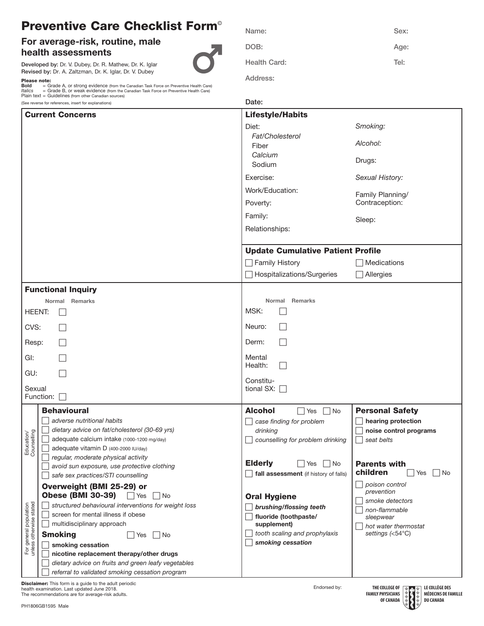## Preventive Care Checklist Form©

## For average-risk, routine, male health assessments

Developed by: Dr. V. Dubey, Dr. R. Mathew, Dr. K. Iglar Revised by: Dr. A. Zaltzman, Dr. K. Iglar, Dr. V. Dubey

Please note: Bold = Grade A, or strong evidence (from the Canadian Task Force on Preventive Health Care) *Italics* = Grade B, or weak evidence (from the Canadian Task Force on Preventive Health Care) Plain text = Guidelines (from other Canadian sources)

| Name:        | Sex: |
|--------------|------|
| DOB:         | Age: |
| Health Card: | Tel: |
| Address:     |      |

|                                                   | (See reverse for references, insert for explanations)                              | Date:                                    |                                           |  |
|---------------------------------------------------|------------------------------------------------------------------------------------|------------------------------------------|-------------------------------------------|--|
| <b>Current Concerns</b>                           |                                                                                    | <b>Lifestyle/Habits</b>                  |                                           |  |
|                                                   |                                                                                    | Diet:                                    | Smoking:                                  |  |
|                                                   |                                                                                    | Fat/Cholesterol                          | Alcohol:                                  |  |
|                                                   |                                                                                    | Fiber<br>Calcium                         |                                           |  |
|                                                   |                                                                                    | Sodium                                   | Drugs:                                    |  |
|                                                   |                                                                                    | Exercise:                                | Sexual History:                           |  |
|                                                   |                                                                                    | Work/Education:                          | Family Planning/                          |  |
|                                                   |                                                                                    | Poverty:                                 | Contraception:                            |  |
|                                                   |                                                                                    | Family:                                  | Sleep:                                    |  |
|                                                   |                                                                                    | Relationships:                           |                                           |  |
|                                                   |                                                                                    |                                          |                                           |  |
|                                                   |                                                                                    | <b>Update Cumulative Patient Profile</b> |                                           |  |
|                                                   |                                                                                    | □ Family History                         | $\Box$ Medications                        |  |
|                                                   |                                                                                    | Hospitalizations/Surgeries               | $\Box$ Allergies                          |  |
|                                                   | <b>Functional Inquiry</b>                                                          |                                          |                                           |  |
|                                                   | Normal Remarks                                                                     | Normal Remarks                           |                                           |  |
| HEENT:                                            |                                                                                    | MSK:                                     |                                           |  |
| CVS:                                              |                                                                                    | Neuro:                                   |                                           |  |
| Resp:                                             |                                                                                    | Derm:                                    |                                           |  |
| GI:                                               |                                                                                    | Mental<br>Health:                        |                                           |  |
| GU:                                               |                                                                                    |                                          |                                           |  |
| Sexual                                            |                                                                                    | Constitu-<br>tional SX: $\square$        |                                           |  |
|                                                   | Function: [                                                                        |                                          |                                           |  |
|                                                   | <b>Behavioural</b>                                                                 | <b>Alcohol</b><br>$\Box$ Yes<br>  No     | <b>Personal Safety</b>                    |  |
|                                                   | adverse nutritional habits                                                         | case finding for problem                 | hearing protection                        |  |
|                                                   | dietary advice on fat/cholesterol (30-69 yrs)                                      | drinking                                 | noise control programs                    |  |
| Education/<br>Counselling                         | adequate calcium intake (1000-1200 mg/day)<br>adequate vitamin D (400-2000 IU/day) | counselling for problem drinking         | seat belts                                |  |
|                                                   | regular, moderate physical activity                                                |                                          |                                           |  |
|                                                   | avoid sun exposure, use protective clothing                                        | <b>Elderly</b><br>No<br>Yes              | <b>Parents with</b>                       |  |
|                                                   | safe sex practices/STI counselling                                                 | fall assessment (if history of falls)    | children<br>No<br>Yes                     |  |
|                                                   | Overweight (BMI 25-29) or                                                          |                                          | poison control<br>prevention              |  |
|                                                   | <b>Obese (BMI 30-39)</b><br>$\Box$ Yes<br>  No                                     | <b>Oral Hygiene</b>                      | smoke detectors                           |  |
|                                                   | structured behavioural interventions for weight loss                               | brushing/flossing teeth                  | non-flammable                             |  |
|                                                   | screen for mental illness if obese<br>multidisciplinary approach                   | fluoride (toothpaste/<br>supplement)     | sleepwear                                 |  |
| For general population<br>unless otherwise stated | <b>Smoking</b><br>  No<br>Yes                                                      | tooth scaling and prophylaxis            | hot water thermostat<br>settings $(54°C)$ |  |
|                                                   | smoking cessation                                                                  | smoking cessation                        |                                           |  |
| unless                                            | nicotine replacement therapy/other drugs                                           |                                          |                                           |  |
|                                                   | dietary advice on fruits and green leafy vegetables                                |                                          |                                           |  |
|                                                   | referral to validated smoking cessation program                                    |                                          |                                           |  |

 $\sim$ 

Disclaimer: This form is a guide to the adult periodic health examination. Last updated June 2018. The recommendations are for average-risk adults.

Endorsed by:<br> **Endorsed by:**<br> **LE COLLÈGE DES**<br> **LE COLLÈGE DES**<br> **LE COLLÈGE DES**<br> **LE COLLÈGE DES**<br> **LE COLLÈGE DES**<br> **DE CANADA**<br> **LE COLLÈGE DES**<br> **LE COLLÈGE DES**<br> **LE COLLÈGE DES**<br> **DE CANADA THE COLLEGE OF FAMILY PHYSICIANS OF CANADA**